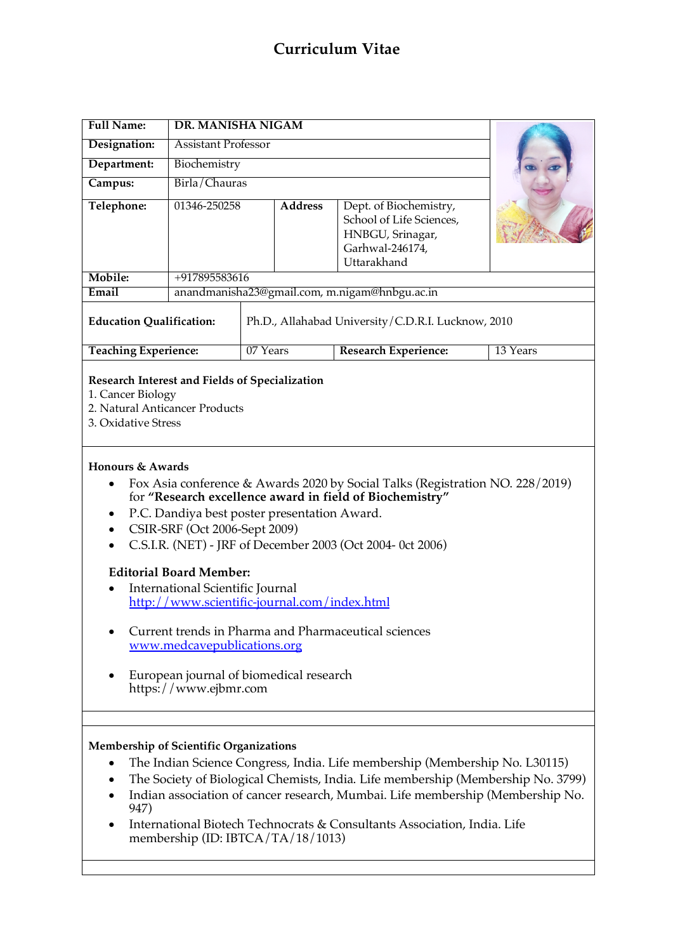# **Curriculum Vitae**

| <b>Full Name:</b>                                                                                                                                                                                                                                                                                                                                                                                                                                                                                                                                                                                                                                                                                  | <b>DR. MANISHA NIGAM</b>                           |          |                |                                                                                                          |          |
|----------------------------------------------------------------------------------------------------------------------------------------------------------------------------------------------------------------------------------------------------------------------------------------------------------------------------------------------------------------------------------------------------------------------------------------------------------------------------------------------------------------------------------------------------------------------------------------------------------------------------------------------------------------------------------------------------|----------------------------------------------------|----------|----------------|----------------------------------------------------------------------------------------------------------|----------|
| Designation:                                                                                                                                                                                                                                                                                                                                                                                                                                                                                                                                                                                                                                                                                       | <b>Assistant Professor</b>                         |          |                |                                                                                                          |          |
| Department:                                                                                                                                                                                                                                                                                                                                                                                                                                                                                                                                                                                                                                                                                        | Biochemistry                                       |          |                |                                                                                                          |          |
| Campus:                                                                                                                                                                                                                                                                                                                                                                                                                                                                                                                                                                                                                                                                                            | Birla/Chauras                                      |          |                |                                                                                                          |          |
| Telephone:                                                                                                                                                                                                                                                                                                                                                                                                                                                                                                                                                                                                                                                                                         | 01346-250258                                       |          | <b>Address</b> | Dept. of Biochemistry,<br>School of Life Sciences,<br>HNBGU, Srinagar,<br>Garhwal-246174,<br>Uttarakhand |          |
| Mobile:                                                                                                                                                                                                                                                                                                                                                                                                                                                                                                                                                                                                                                                                                            | +917895583616                                      |          |                |                                                                                                          |          |
| Email                                                                                                                                                                                                                                                                                                                                                                                                                                                                                                                                                                                                                                                                                              | anandmanisha23@gmail.com, m.nigam@hnbgu.ac.in      |          |                |                                                                                                          |          |
| <b>Education Qualification:</b>                                                                                                                                                                                                                                                                                                                                                                                                                                                                                                                                                                                                                                                                    | Ph.D., Allahabad University/C.D.R.I. Lucknow, 2010 |          |                |                                                                                                          |          |
| <b>Teaching Experience:</b>                                                                                                                                                                                                                                                                                                                                                                                                                                                                                                                                                                                                                                                                        |                                                    | 07 Years |                | Research Experience:                                                                                     | 13 Years |
| 1. Cancer Biology<br>2. Natural Anticancer Products<br>3. Oxidative Stress<br>Honours & Awards<br>Fox Asia conference & Awards 2020 by Social Talks (Registration NO. 228/2019)<br>٠<br>for "Research excellence award in field of Biochemistry"<br>P.C. Dandiya best poster presentation Award.<br>٠<br>CSIR-SRF (Oct 2006-Sept 2009)<br>$\bullet$<br>C.S.I.R. (NET) - JRF of December 2003 (Oct 2004- 0ct 2006)<br><b>Editorial Board Member:</b><br>International Scientific Journal<br>http://www.scientific-journal.com/index.html<br>Current trends in Pharma and Pharmaceutical sciences<br>www.medcavepublications.org<br>European journal of biomedical research<br>https://www.ejbmr.com |                                                    |          |                |                                                                                                          |          |
|                                                                                                                                                                                                                                                                                                                                                                                                                                                                                                                                                                                                                                                                                                    |                                                    |          |                |                                                                                                          |          |
|                                                                                                                                                                                                                                                                                                                                                                                                                                                                                                                                                                                                                                                                                                    |                                                    |          |                |                                                                                                          |          |
| Membership of Scientific Organizations<br>The Indian Science Congress, India. Life membership (Membership No. L30115)<br>The Society of Biological Chemists, India. Life membership (Membership No. 3799)                                                                                                                                                                                                                                                                                                                                                                                                                                                                                          |                                                    |          |                |                                                                                                          |          |

- Indian association of cancer research, Mumbai. Life membership (Membership No. 947)
- International Biotech Technocrats & Consultants Association, India. Life membership (ID: IBTCA/TA/18/1013)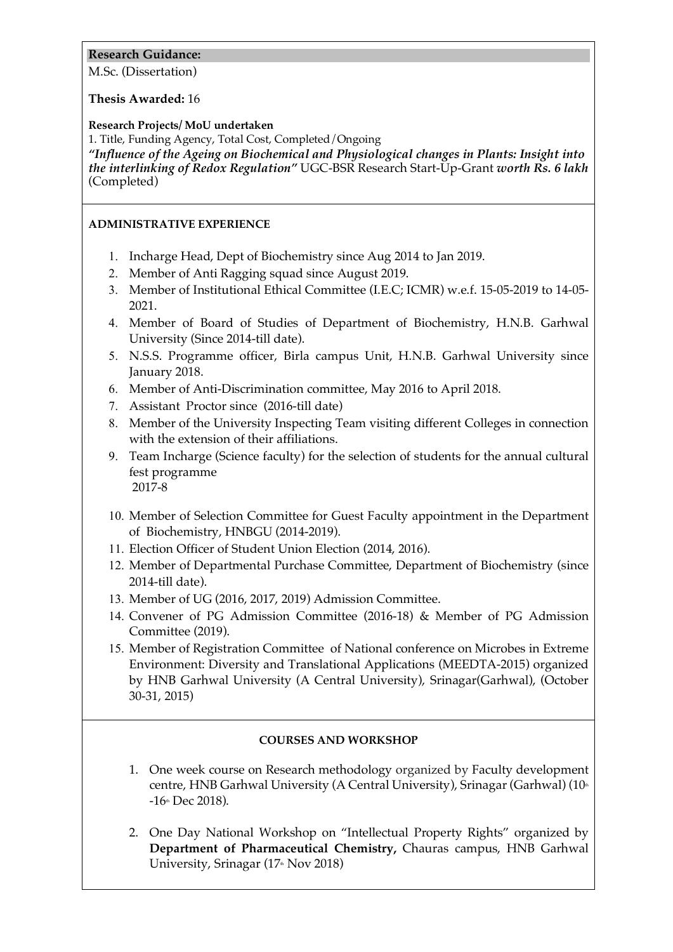# **Research Guidance:**

M.Sc. (Dissertation)

## **Thesis Awarded:** 16

## **Research Projects/ MoU undertaken**

1. Title, Funding Agency, Total Cost, Completed/Ongoing

*"Influence of the Ageing on Biochemical and Physiological changes in Plants: Insight into the interlinking of Redox Regulation"* UGC-BSR Research Start-Up-Grant *worth Rs. 6 lakh* (Completed)

# **ADMINISTRATIVE EXPERIENCE**

- 1. Incharge Head, Dept of Biochemistry since Aug 2014 to Jan 2019.
- 2. Member of Anti Ragging squad since August 2019.
- 3. Member of Institutional Ethical Committee (I.E.C; ICMR) w.e.f. 15-05-2019 to 14-05- 2021.
- 4. Member of Board of Studies of Department of Biochemistry, H.N.B. Garhwal University (Since 2014-till date).
- 5. N.S.S. Programme officer, Birla campus Unit, H.N.B. Garhwal University since January 2018.
- 6. Member of Anti-Discrimination committee, May 2016 to April 2018.
- 7. Assistant Proctor since (2016-till date)
- 8. Member of the University Inspecting Team visiting different Colleges in connection with the extension of their affiliations.
- 9. Team Incharge (Science faculty) for the selection of students for the annual cultural fest programme 2017-8
- 10. Member of Selection Committee for Guest Faculty appointment in the Department of Biochemistry, HNBGU (2014-2019).
- 11. Election Officer of Student Union Election (2014, 2016).
- 12. Member of Departmental Purchase Committee, Department of Biochemistry (since 2014-till date).
- 13. Member of UG (2016, 2017, 2019) Admission Committee.
- 14. Convener of PG Admission Committee (2016-18) & Member of PG Admission Committee (2019).
- 15. Member of Registration Committee of National conference on Microbes in Extreme Environment: Diversity and Translational Applications (MEEDTA-2015) organized by HNB Garhwal University (A Central University), Srinagar(Garhwal), (October 30-31, 2015)

## **COURSES AND WORKSHOP**

- 1. One week course on Research methodology organized by Faculty development centre, HNB Garhwal University (A Central University), Srinagar (Garhwal) (10<sup>th</sup>  $-16$ th Dec 2018).
- 2. One Day National Workshop on "Intellectual Property Rights" organized by **Department of Pharmaceutical Chemistry,** Chauras campus, HNB Garhwal University, Srinagar (17<sup>th</sup> Nov 2018)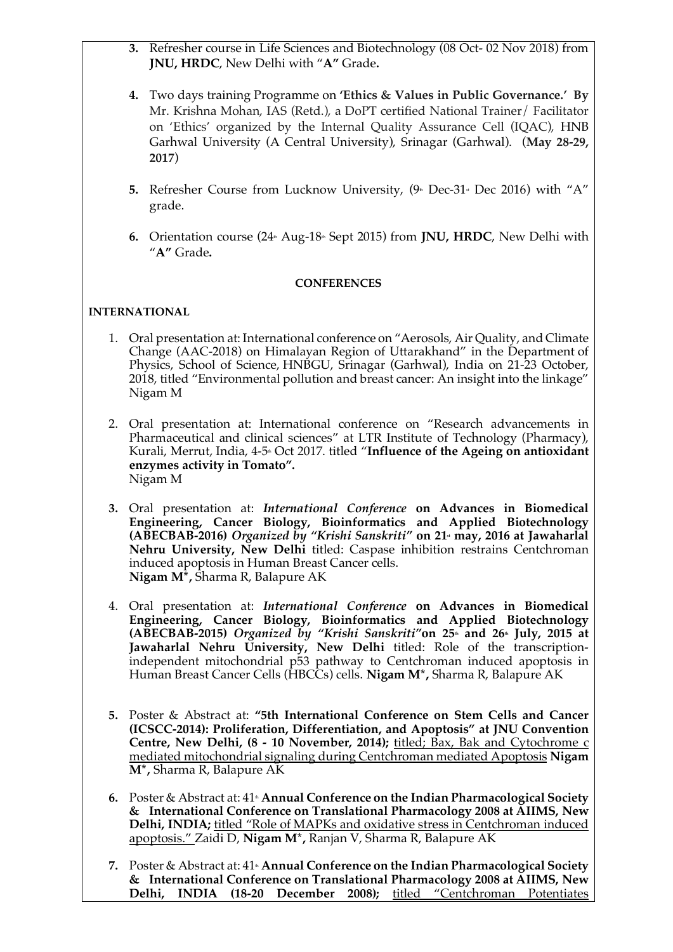- **3.** Refresher course in Life Sciences and Biotechnology (08 Oct- 02 Nov 2018) from **JNU, HRDC**, New Delhi with "**A"** Grade**.**
- **4.** Two days training Programme on **'Ethics & Values in Public Governance.' By**  Mr. Krishna Mohan, IAS (Retd.), a DoPT certified National Trainer/ Facilitator on 'Ethics' organized by the Internal Quality Assurance Cell (IQAC), HNB Garhwal University (A Central University), Srinagar (Garhwal). (**May 28-29, 2017**)
- **5.** Refresher Course from Lucknow University,  $(9 \text{m} \text{ Dec-31} \text{m} \text{ Dec 2016})$  with "A" grade.
- **6.** Orientation course (24<sup>th</sup> Aug-18<sup>th</sup> Sept 2015) from **JNU, HRDC**, New Delhi with "**A"** Grade**.**

#### **CONFERENCES**

# **INTERNATIONAL**

- 1. Oral presentation at: International conference on "Aerosols, Air Quality, and Climate Change (AAC-2018) on Himalayan Region of Uttarakhand" in the Department of Physics, School of Science, HNBGU, Srinagar (Garhwal), India on 21-23 October, 2018, titled "Environmental pollution and breast cancer: An insight into the linkage" Nigam M
- 2. Oral presentation at: International conference on "Research advancements in Pharmaceutical and clinical sciences" at LTR Institute of Technology (Pharmacy), Kurali, Merrut, India, 4-5<sup>th</sup> Oct 2017. titled "Influence of the Ageing on antioxidant **enzymes activity in Tomato".** Nigam M
- **3.** Oral presentation at: *International Conference* **on Advances in Biomedical Engineering, Cancer Biology, Bioinformatics and Applied Biotechnology (ABECBAB-2016)** *Organized by "Krishi Sanskriti"* on 21<sup>t</sup> may, 2016 at Jawaharlal **Nehru University, New Delhi** titled: Caspase inhibition restrains Centchroman induced apoptosis in Human Breast Cancer cells. **Nigam M\*,** Sharma R, Balapure AK
- 4. Oral presentation at: *International Conference* **on Advances in Biomedical Engineering, Cancer Biology, Bioinformatics and Applied Biotechnology (ABECBAB-2015)** *Organized by "Krishi Sanskriti"* on 25<sup>th</sup> and 26<sup>th</sup> July, 2015 at **Jawaharlal Nehru University, New Delhi** titled: Role of the transcriptionindependent mitochondrial p53 pathway to Centchroman induced apoptosis in Human Breast Cancer Cells (HBCCs) cells. **Nigam M\*,** Sharma R, Balapure AK
- **5.** Poster & Abstract at: **"5th International Conference on Stem Cells and Cancer (ICSCC-2014): Proliferation, Differentiation, and Apoptosis" at JNU Convention Centre, New Delhi, (8 - 10 November, 2014);** titled; Bax, Bak and Cytochrome c mediated mitochondrial signaling during Centchroman mediated Apoptosis **Nigam M\*,** Sharma R, Balapure AK
- **6.** Poster & Abstract at: 41<sup>th</sup> **Annual Conference on the Indian Pharmacological Society & International Conference on Translational Pharmacology 2008 at AIIMS, New Delhi, INDIA;** titled "Role of MAPKs and oxidative stress in Centchroman induced apoptosis." Zaidi D, **Nigam M\*,** Ranjan V, Sharma R, Balapure AK
- **7.** Poster & Abstract at: 41<sup>th</sup> **Annual Conference on the Indian Pharmacological Society & International Conference on Translational Pharmacology 2008 at AIIMS, New Delhi, INDIA (18-20 December 2008);** titled "Centchroman Potentiates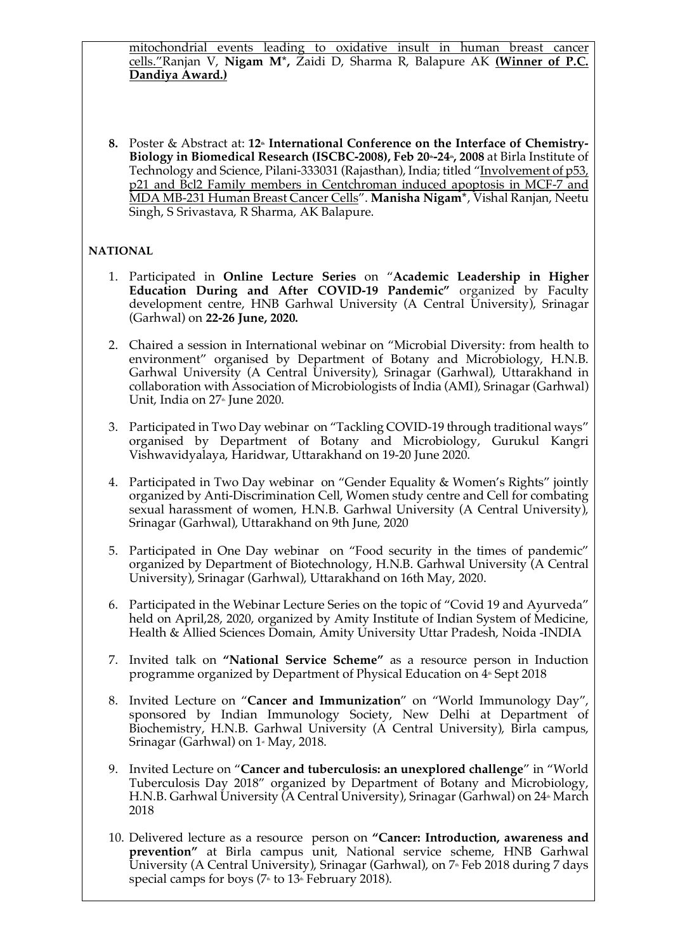mitochondrial events leading to oxidative insult in human breast cancer cells."Ranjan V, **Nigam M\*,** Zaidi D, Sharma R, Balapure AK **(Winner of P.C. Dandiya Award.)**

8. Poster & Abstract at: 12<sup>th</sup> International Conference on the Interface of Chemistry-Biology in Biomedical Research (ISCBC-2008), Feb 20<sup>th</sup>-24<sup>th</sup>, 2008 at Birla Institute of Technology and Science, Pilani-333031 (Rajasthan), India; titled "Involvement of p53, p21 and Bcl2 Family members in Centchroman induced apoptosis in MCF-7 and MDA MB-231 Human Breast Cancer Cells". **Manisha Nigam\***, Vishal Ranjan, Neetu Singh, S Srivastava, R Sharma, AK Balapure.

# **NATIONAL**

- 1. Participated in **Online Lecture Series** on "**Academic Leadership in Higher Education During and After COVID-19 Pandemic"** organized by Faculty development centre, HNB Garhwal University (A Central University), Srinagar (Garhwal) on **22-26 June, 2020.**
- 2. Chaired a session in International webinar on "Microbial Diversity: from health to environment" organised by Department of Botany and Microbiology, H.N.B. Garhwal University (A Central University), Srinagar (Garhwal), Uttarakhand in collaboration with Association of Microbiologists of India (AMI), Srinagar (Garhwal) Unit, India on  $27<sup>th</sup>$  June 2020.
- 3. Participated in Two Day webinar on "Tackling COVID-19 through traditional ways" organised by Department of Botany and Microbiology, Gurukul Kangri Vishwavidyalaya, Haridwar, Uttarakhand on 19-20 June 2020.
- 4. Participated in Two Day webinar on "Gender Equality & Women's Rights" jointly organized by Anti-Discrimination Cell, Women study centre and Cell for combating sexual harassment of women, H.N.B. Garhwal University (A Central University), Srinagar (Garhwal), Uttarakhand on 9th June, 2020
- 5. Participated in One Day webinar on "Food security in the times of pandemic" organized by Department of Biotechnology, H.N.B. Garhwal University (A Central University), Srinagar (Garhwal), Uttarakhand on 16th May, 2020.
- 6. Participated in the Webinar Lecture Series on the topic of "Covid 19 and Ayurveda" held on April,28, 2020, organized by Amity Institute of Indian System of Medicine, Health & Allied Sciences Domain, Amity University Uttar Pradesh, Noida -INDIA
- 7. Invited talk on **"National Service Scheme"** as a resource person in Induction programme organized by Department of Physical Education on  $4*$  Sept 2018
- 8. Invited Lecture on "**Cancer and Immunization**" on "World Immunology Day", sponsored by Indian Immunology Society, New Delhi at Department of Biochemistry, H.N.B. Garhwal University (A Central University), Birla campus, Srinagar (Garhwal) on  $1$ <sup>\*</sup> May, 2018.
- 9. Invited Lecture on "**Cancer and tuberculosis: an unexplored challenge**" in "World Tuberculosis Day 2018" organized by Department of Botany and Microbiology, H.N.B. Garhwal University (A Central University), Srinagar (Garhwal) on 24<sup>th</sup> March 2018
- 10. Delivered lecture as a resource person on **"Cancer: Introduction, awareness and prevention"** at Birla campus unit, National service scheme, HNB Garhwal University (A Central University), Srinagar (Garhwal), on  $7*$  Feb 2018 during 7 days special camps for boys ( $7*$  to  $13*$  February 2018).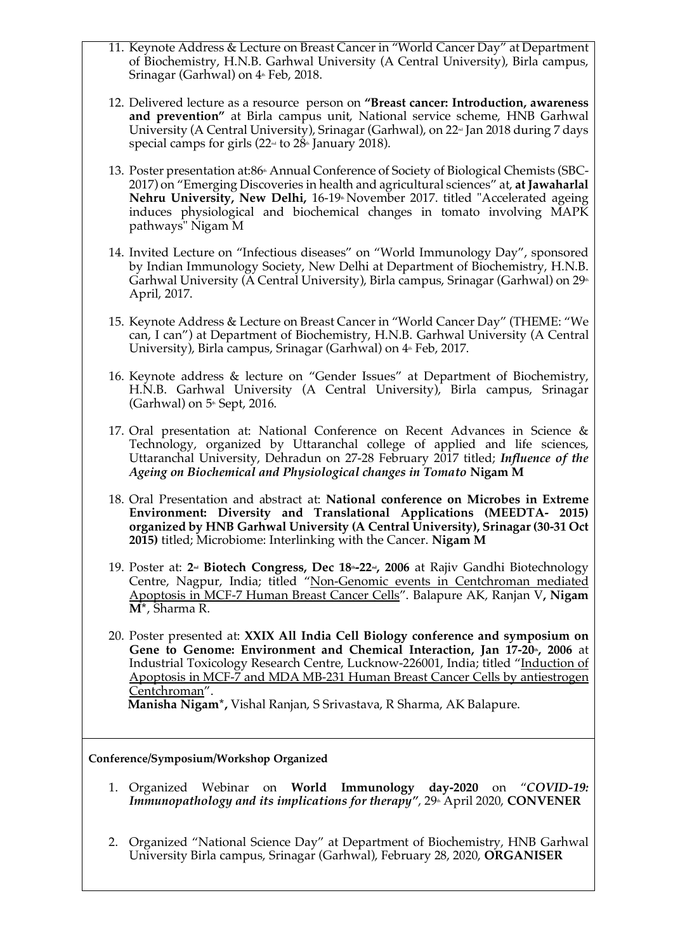- 11. Keynote Address & Lecture on Breast Cancer in "World Cancer Day" at Department of Biochemistry, H.N.B. Garhwal University (A Central University), Birla campus, Srinagar (Garhwal) on  $4*$  Feb, 2018.
- 12. Delivered lecture as a resource person on **"Breast cancer: Introduction, awareness and prevention"** at Birla campus unit, National service scheme, HNB Garhwal University (A Central University), Srinagar (Garhwal), on  $22\pi$  Jan 2018 during 7 days special camps for girls  $(22<sup>nd</sup>$  to  $28<sup>th</sup>$  January 2018).
- 13. Poster presentation at:86<sup>\*</sup> Annual Conference of Society of Biological Chemists (SBC-2017) on "Emerging Discoveries in health and agricultural sciences" at, **at Jawaharlal**  Nehru University, New Delhi, 16-19<sup>th</sup> November 2017. titled "Accelerated ageing induces physiological and biochemical changes in tomato involving MAPK pathways" Nigam M
- 14. Invited Lecture on "Infectious diseases" on "World Immunology Day", sponsored by Indian Immunology Society, New Delhi at Department of Biochemistry, H.N.B. Garhwal University ( $\tilde{A}$  Central University), Birla campus, Srinagar (Garhwal) on 29<sup>th</sup> April, 2017.
- 15. Keynote Address & Lecture on Breast Cancer in "World Cancer Day" (THEME: "We can, I can") at Department of Biochemistry, H.N.B. Garhwal University (A Central University), Birla campus, Srinagar (Garhwal) on  $4*$  Feb, 2017.
- 16. Keynote address & lecture on "Gender Issues" at Department of Biochemistry, H.N.B. Garhwal University (A Central University), Birla campus, Srinagar (Garhwal) on  $5$ <sup>th</sup> Sept, 2016.
- 17. Oral presentation at: National Conference on Recent Advances in Science & Technology, organized by Uttaranchal college of applied and life sciences, Uttaranchal University, Dehradun on 27-28 February 2017 titled; *Influence of the Ageing on Biochemical and Physiological changes in Tomato* **Nigam M**
- 18. Oral Presentation and abstract at: **National conference on Microbes in Extreme Environment: Diversity and Translational Applications (MEEDTA- 2015) organized by HNB Garhwal University (A Central University), Srinagar (30-31 Oct 2015)** titled; Microbiome: Interlinking with the Cancer. **Nigam M**
- 19. Poster at: 2<sup>nd</sup> **Biotech Congress, Dec 18<sup>th</sup>-22<sup>nd</sup>, 2006** at Rajiv Gandhi Biotechnology Centre, Nagpur, India; titled "Non-Genomic events in Centchroman mediated Apoptosis in MCF-7 Human Breast Cancer Cells". Balapure AK, Ranjan V**, Nigam M\***, Sharma R.
- 20. Poster presented at: **XXIX All India Cell Biology conference and symposium on**  Gene to Genome: Environment and Chemical Interaction, Jan 17-20<sup>th</sup>, 2006 at Industrial Toxicology Research Centre, Lucknow-226001, India; titled "Induction of Apoptosis in MCF-7 and MDA MB-231 Human Breast Cancer Cells by antiestrogen Centchroman".

**Manisha Nigam\*,** Vishal Ranjan, S Srivastava, R Sharma, AK Balapure.

#### **Conference/Symposium/Workshop Organized**

- 1. Organized Webinar on **World Immunology day-2020** on "*COVID-19: Immunopathology and its implications for therapy", 29<sup>th</sup> April 2020, CONVENER*
- 2. Organized "National Science Day" at Department of Biochemistry, HNB Garhwal University Birla campus, Srinagar (Garhwal), February 28, 2020, **ORGANISER**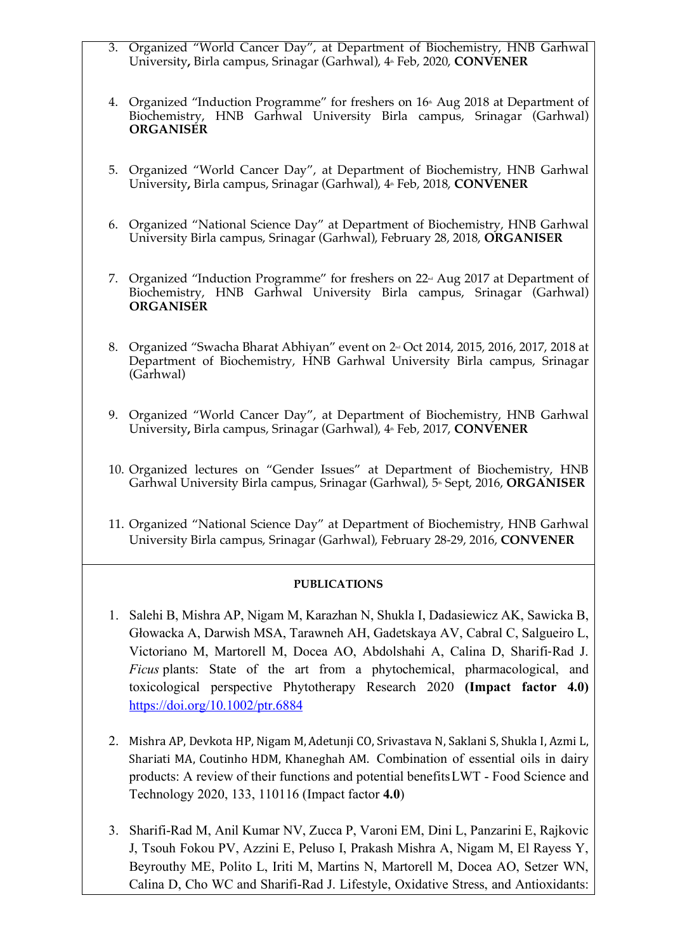- 3. Organized "World Cancer Day", at Department of Biochemistry, HNB Garhwal University, Birla campus, Srinagar (Garhwal), 4 Feb, 2020, **CONVENER**
- 4. Organized "Induction Programme" for freshers on 16<sup>th</sup> Aug 2018 at Department of Biochemistry, HNB Garhwal University Birla campus, Srinagar (Garhwal) **ORGANISER**
- 5. Organized "World Cancer Day", at Department of Biochemistry, HNB Garhwal University, Birla campus, Srinagar (Garhwal), 4<sup>th</sup> Feb, 2018, **CONVENER**
- 6. Organized "National Science Day" at Department of Biochemistry, HNB Garhwal University Birla campus, Srinagar (Garhwal), February 28, 2018, **ORGANISER**
- 7. Organized "Induction Programme" for freshers on 22<sup>nd</sup> Aug 2017 at Department of Biochemistry, HNB Garhwal University Birla campus, Srinagar (Garhwal) **ORGANISER**
- 8. Organized "Swacha Bharat Abhiyan" event on 2<sup>nd</sup> Oct 2014, 2015, 2016, 2017, 2018 at Department of Biochemistry, HNB Garhwal University Birla campus, Srinagar (Garhwal)
- 9. Organized "World Cancer Day", at Department of Biochemistry, HNB Garhwal University, Birla campus, Srinagar (Garhwal), 4<sup>th</sup> Feb, 2017, **CONVENER**
- 10. Organized lectures on "Gender Issues" at Department of Biochemistry, HNB Garhwal University Birla campus, Srinagar (Garhwal), 5<sup>th</sup> Sept, 2016, **ORGANISER**
- 11. Organized "National Science Day" at Department of Biochemistry, HNB Garhwal University Birla campus, Srinagar (Garhwal), February 28-29, 2016, **CONVENER**

## **PUBLICATIONS**

- 1. Salehi B, Mishra AP, Nigam M, Karazhan N, Shukla I, Dadasiewicz AK, Sawicka B, Głowacka A, Darwish MSA, Tarawneh AH, Gadetskaya AV, Cabral C, Salgueiro L, Victoriano M, Martorell M, Docea AO, Abdolshahi A, Calina D, Sharifi-Rad J. *Ficus* plants: State of the art from a phytochemical, pharmacological, and toxicological perspective Phytotherapy Research 2020 **(Impact factor 4.0)** https://doi.org/10.1002/ptr.6884
- 2. Mishra AP, Devkota HP, Nigam M, Adetunji CO, Srivastava N, Saklani S, Shukla I, Azmi L, Shariati MA, Coutinho HDM, Khaneghah AM. Combination of essential oils in dairy products: A review of their functions and potential benefitsLWT - Food Science and Technology 2020, 133, 110116 (Impact factor **4.0**)
- 3. Sharifi-Rad M, Anil Kumar NV, Zucca P, Varoni EM, Dini L, Panzarini E, Rajkovic J, Tsouh Fokou PV, Azzini E, Peluso I, Prakash Mishra A, Nigam M, El Rayess Y, Beyrouthy ME, Polito L, Iriti M, Martins N, Martorell M, Docea AO, Setzer WN, Calina D, Cho WC and Sharifi-Rad J. Lifestyle, Oxidative Stress, and Antioxidants: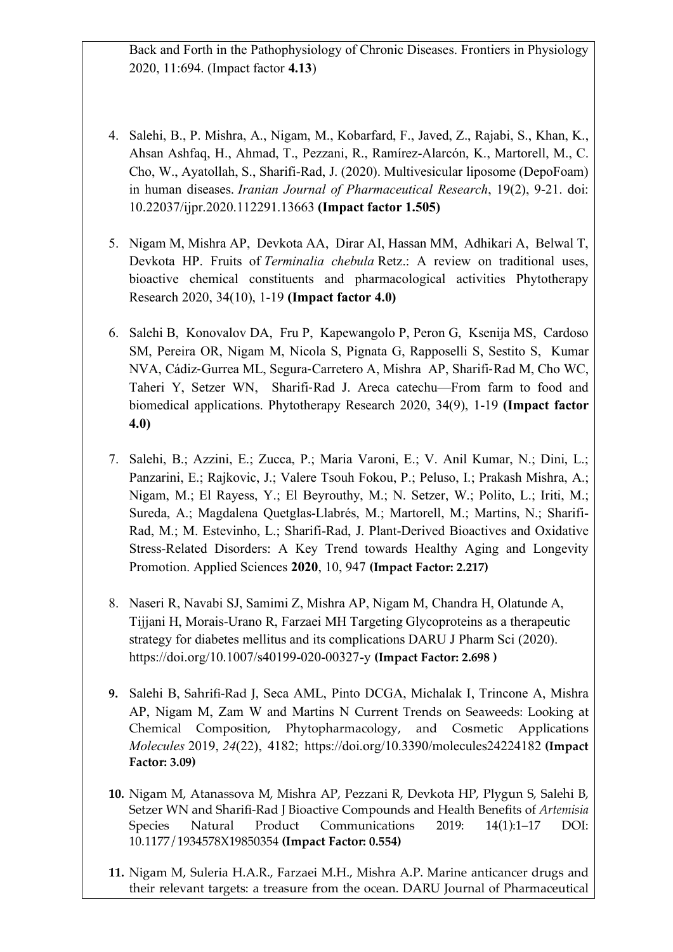Back and Forth in the Pathophysiology of Chronic Diseases. Frontiers in Physiology 2020, 11:694. (Impact factor **4.13**)

- 4. Salehi, B., P. Mishra, A., Nigam, M., Kobarfard, F., Javed, Z., Rajabi, S., Khan, K., Ahsan Ashfaq, H., Ahmad, T., Pezzani, R., Ramírez-Alarcón, K., Martorell, M., C. Cho, W., Ayatollah, S., Sharifi-Rad, J. (2020). Multivesicular liposome (DepoFoam) in human diseases. *Iranian Journal of Pharmaceutical Research*, 19(2), 9-21. doi: 10.22037/ijpr.2020.112291.13663 **(Impact factor 1.505)**
- 5. Nigam M, Mishra AP, Devkota AA, Dirar AI, Hassan MM, Adhikari A, Belwal T, Devkota HP. Fruits of *Terminalia chebula* Retz.: A review on traditional uses, bioactive chemical constituents and pharmacological activities Phytotherapy Research 2020, 34(10), 1-19 **(Impact factor 4.0)**
- 6. Salehi B, Konovalov DA, Fru P, Kapewangolo P, Peron G, Ksenija MS, Cardoso SM, Pereira OR, Nigam M, Nicola S, Pignata G, Rapposelli S, Sestito S, Kumar NVA, Cádiz-Gurrea ML, Segura-Carretero A, Mishra AP, Sharifi-Rad M, Cho WC, Taheri Y, Setzer WN, Sharifi-Rad J. Areca catechu—From farm to food and biomedical applications. Phytotherapy Research 2020, 34(9), 1-19 **(Impact factor 4.0)**
- 7. Salehi, B.; Azzini, E.; Zucca, P.; Maria Varoni, E.; V. Anil Kumar, N.; Dini, L.; Panzarini, E.; Rajkovic, J.; Valere Tsouh Fokou, P.; Peluso, I.; Prakash Mishra, A.; Nigam, M.; El Rayess, Y.; El Beyrouthy, M.; N. Setzer, W.; Polito, L.; Iriti, M.; Sureda, A.; Magdalena Quetglas-Llabrés, M.; Martorell, M.; Martins, N.; Sharifi-Rad, M.; M. Estevinho, L.; Sharifi-Rad, J. Plant-Derived Bioactives and Oxidative Stress-Related Disorders: A Key Trend towards Healthy Aging and Longevity Promotion. Applied Sciences **2020**, 10, 947 **(Impact Factor: 2.217)**
- 8. Naseri R, Navabi SJ, Samimi Z, Mishra AP, Nigam M, Chandra H, Olatunde A, Tijjani H, Morais-Urano R, Farzaei MH Targeting Glycoproteins as a therapeutic strategy for diabetes mellitus and its complications DARU J Pharm Sci (2020). https://doi.org/10.1007/s40199-020-00327-y **(Impact Factor: 2.698 )**
- **9.** Salehi B, Sahrifi-Rad J, Seca AML, Pinto DCGA, Michalak I, Trincone A, Mishra AP, Nigam M, Zam W and Martins N Current Trends on Seaweeds: Looking at Chemical Composition, Phytopharmacology, and Cosmetic Applications *Molecules* 2019, *24*(22), 4182; https://doi.org/10.3390/molecules24224182 **(Impact Factor: 3.09)**
- **10.** Nigam M, Atanassova M, Mishra AP, Pezzani R, Devkota HP, Plygun S, Salehi B, Setzer WN and Sharifi-Rad J Bioactive Compounds and Health Benefits of *Artemisia*  Species Natural Product Communications 2019: 14(1):1–17 DOI: 10.1177/1934578X19850354 **(Impact Factor: 0.554)**
- **11.** Nigam M, Suleria H.A.R., Farzaei M.H., Mishra A.P. Marine anticancer drugs and their relevant targets: a treasure from the ocean. DARU Journal of Pharmaceutical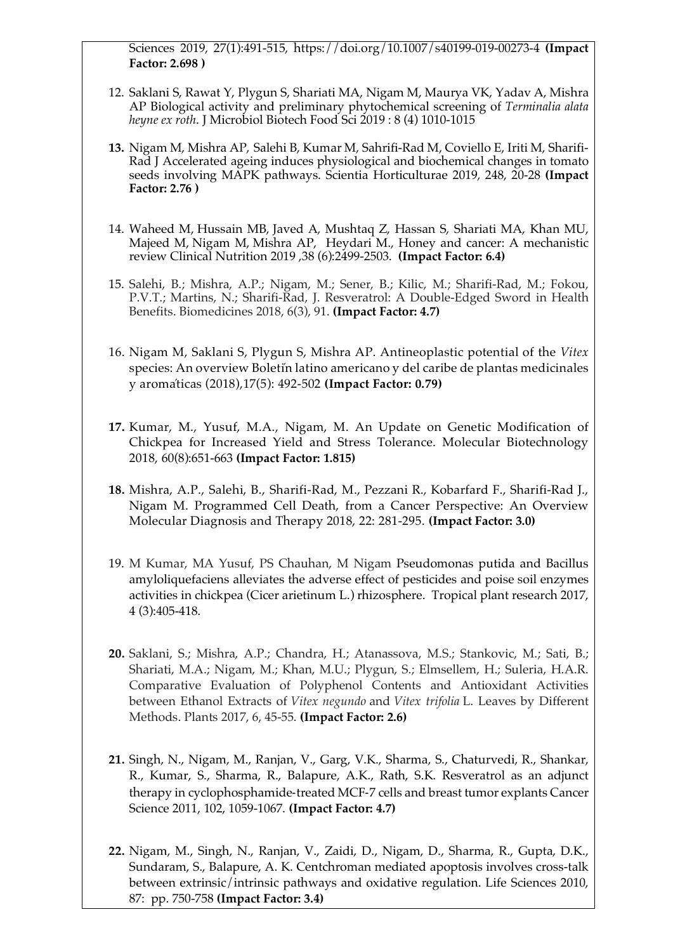Sciences 2019, 27(1):491-515, https://doi.org/10.1007/s40199-019-00273-4 **(Impact Factor: 2.698 )**

- 12. Saklani S, Rawat Y, Plygun S, Shariati MA, Nigam M, Maurya VK, Yadav A, Mishra AP Biological activity and preliminary phytochemical screening of *Terminalia alata heyne ex roth*. J Microbiol Biotech Food Sci 2019 : 8 (4) 1010-1015
- **13.** Nigam M, Mishra AP, Salehi B, Kumar M, Sahrifi-Rad M, Coviello E, Iriti M, Sharifi-Rad J Accelerated ageing induces physiological and biochemical changes in tomato seeds involving MAPK pathways. Scientia Horticulturae 2019, 248, 20-28 **(Impact Factor: 2.76 )**
- 14. Waheed M, Hussain MB, Javed A, Mushtaq Z, Hassan S, Shariati MA, Khan MU, Majeed M, Nigam M, Mishra AP, Heydari M., Honey and cancer: A mechanistic review Clinical Nutrition 2019 ,38 (6):2499-2503. **(Impact Factor: 6.4)**
- 15. Salehi, B.; Mishra, A.P.; Nigam, M.; Sener, B.; Kilic, M.; Sharifi-Rad, M.; Fokou, P.V.T.; Martins, N.; Sharifi-Rad, J. Resveratrol: A Double-Edged Sword in Health Benefits. Biomedicines 2018, 6(3), 91. **(Impact Factor: 4.7)**
- 16. Nigam M, Saklani S, Plygun S, Mishra AP. Antineoplastic potential of the *Vitex*  species: An overview Boletín latino americano y del caribe de plantas medicinales y aromáticas (2018),17(5): 492-502 **(Impact Factor: 0.79)**
- **17.** Kumar, M., Yusuf, M.A., Nigam, M. An Update on Genetic Modification of Chickpea for Increased Yield and Stress Tolerance. Molecular Biotechnology 2018, 60(8):651-663 **(Impact Factor: 1.815)**
- **18.** Mishra, A.P., Salehi, B., Sharifi-Rad, M., Pezzani R., Kobarfard F., Sharifi-Rad J., Nigam M. Programmed Cell Death, from a Cancer Perspective: An Overview Molecular Diagnosis and Therapy 2018, 22: 281-295. **(Impact Factor: 3.0)**
- 19. M Kumar, MA Yusuf, PS Chauhan, M Nigam Pseudomonas putida and Bacillus amyloliquefaciens alleviates the adverse effect of pesticides and poise soil enzymes activities in chickpea (Cicer arietinum L.) rhizosphere. Tropical plant research 2017, 4 (3):405-418.
- **20.** Saklani, S.; Mishra, A.P.; Chandra, H.; Atanassova, M.S.; Stankovic, M.; Sati, B.; Shariati, M.A.; Nigam, M.; Khan, M.U.; Plygun, S.; Elmsellem, H.; Suleria, H.A.R. Comparative Evaluation of Polyphenol Contents and Antioxidant Activities between Ethanol Extracts of *Vitex negundo* and *Vitex trifolia* L. Leaves by Different Methods. Plants 2017, 6, 45-55. **(Impact Factor: 2.6)**
- **21.** Singh, N., Nigam, M., Ranjan, V., Garg, V.K., Sharma, S., Chaturvedi, R., Shankar, R., Kumar, S., Sharma, R., Balapure, A.K., Rath, S.K. Resveratrol as an adjunct therapy in cyclophosphamide-treated MCF-7 cells and breast tumor explants Cancer Science 2011, 102, 1059-1067. **(Impact Factor: 4.7)**
- **22.** Nigam, M., Singh, N., Ranjan, V., Zaidi, D., Nigam, D., Sharma, R., Gupta, D.K., Sundaram, S., Balapure, A. K. Centchroman mediated apoptosis involves cross-talk between extrinsic/intrinsic pathways and oxidative regulation. Life Sciences 2010, 87: pp. 750-758 **(Impact Factor: 3.4)**